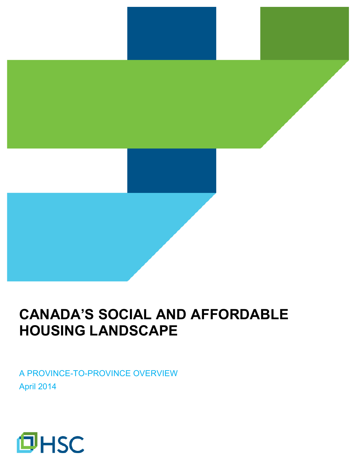# **CANADA'S SOCIAL AND AFFORDABLE HOUSING LANDSCAPE**

A PROVINCE-TO-PROVINCE OVERVIEW April 2014

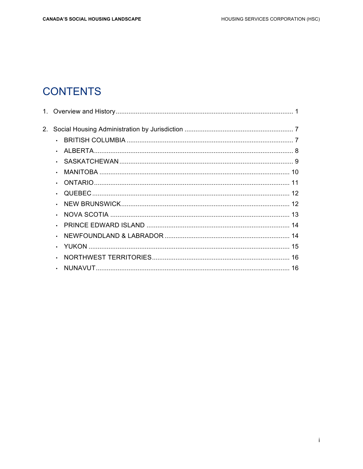## **CONTENTS**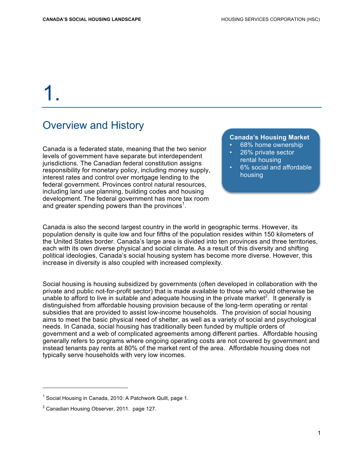# 1.

### Overview and History

Canada is a federated state, meaning that the two senior levels of government have separate but interdependent jurisdictions. The Canadian federal constitution assigns responsibility for monetary policy, including money supply, interest rates and control over mortgage lending to the federal government. Provinces control natural resources, including land use planning, building codes and housing development. The federal government has more tax room and greater spending powers than the provinces<sup>1</sup>.

#### **Canada's Housing Market**

- 68% home ownership
- 26% private sector rental housing
- 6% social and affordable housing

Canada is also the second largest country in the world in geographic terms. However, its population density is quite low and four fifths of the population resides within 150 kilometers of the United States border. Canada's large area is divided into ten provinces and three territories, each with its own diverse physical and social climate. As a result of this diversity and shifting political ideologies, Canada's social housing system has become more diverse. However, this increase in diversity is also coupled with increased complexity.

Social housing is housing subsidized by governments (often developed in collaboration with the private and public not-for-profit sector) that is made available to those who would otherwise be unable to afford to live in suitable and adequate housing in the private market<sup>2</sup>. It generally is distinguished from affordable housing provision because of the long-term operating or rental subsidies that are provided to assist low-income households. The provision of social housing aims to meet the basic physical need of shelter, as well as a variety of social and psychological needs. In Canada, social housing has traditionally been funded by multiple orders of government and a web of complicated agreements among different parties. Affordable housing generally refers to programs where ongoing operating costs are not covered by government and instead tenants pay rents at 80% of the market rent of the area. Affordable housing does not typically serve households with very low incomes.

 $1$  Social Housing in Canada, 2010: A Patchwork Quilt, page 1.

 $2$  Canadian Housing Observer, 2011. page 127.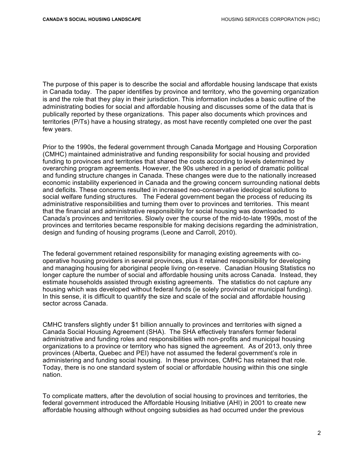The purpose of this paper is to describe the social and affordable housing landscape that exists in Canada today. The paper identifies by province and territory, who the governing organization is and the role that they play in their jurisdiction. This information includes a basic outline of the administrating bodies for social and affordable housing and discusses some of the data that is publically reported by these organizations. This paper also documents which provinces and territories (P/Ts) have a housing strategy, as most have recently completed one over the past few years.

Prior to the 1990s, the federal government through Canada Mortgage and Housing Corporation (CMHC) maintained administrative and funding responsibility for social housing and provided funding to provinces and territories that shared the costs according to levels determined by overarching program agreements. However, the 90s ushered in a period of dramatic political and funding structure changes in Canada. These changes were due to the nationally increased economic instability experienced in Canada and the growing concern surrounding national debts and deficits. These concerns resulted in increased neo-conservative ideological solutions to social welfare funding structures. The Federal government began the process of reducing its administrative responsibilities and turning them over to provinces and territories. This meant that the financial and administrative responsibility for social housing was downloaded to Canada's provinces and territories. Slowly over the course of the mid-to-late 1990s, most of the provinces and territories became responsible for making decisions regarding the administration, design and funding of housing programs (Leone and Carroll, 2010).

The federal government retained responsibility for managing existing agreements with cooperative housing providers in several provinces, plus it retained responsibility for developing and managing housing for aboriginal people living on-reserve. Canadian Housing Statistics no longer capture the number of social and affordable housing units across Canada. Instead, they estimate households assisted through existing agreements. The statistics do not capture any housing which was developed without federal funds (ie solely provincial or municipal funding). In this sense, it is difficult to quantify the size and scale of the social and affordable housing sector across Canada.

CMHC transfers slightly under \$1 billion annually to provinces and territories with signed a Canada Social Housing Agreement (SHA). The SHA effectively transfers former federal administrative and funding roles and responsibilities with non-profits and municipal housing organizations to a province or territory who has signed the agreement. As of 2013, only three provinces (Alberta, Quebec and PEI) have not assumed the federal government's role in administering and funding social housing. In these provinces, CMHC has retained that role. Today, there is no one standard system of social or affordable housing within this one single nation.

To complicate matters, after the devolution of social housing to provinces and territories, the federal government introduced the Affordable Housing Initiative (AHI) in 2001 to create new affordable housing although without ongoing subsidies as had occurred under the previous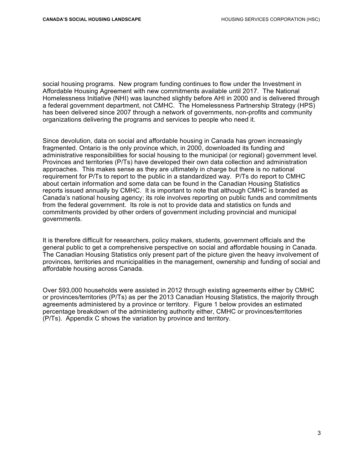social housing programs. New program funding continues to flow under the Investment in Affordable Housing Agreement with new commitments available until 2017. The National Homelessness Initiative (NHI) was launched slightly before AHI in 2000 and is delivered through a federal government department, not CMHC. The Homelessness Partnership Strategy (HPS) has been delivered since 2007 through a network of governments, non-profits and community organizations delivering the programs and services to people who need it.

Since devolution, data on social and affordable housing in Canada has grown increasingly fragmented. Ontario is the only province which, in 2000, downloaded its funding and administrative responsibilities for social housing to the municipal (or regional) government level. Provinces and territories (P/Ts) have developed their own data collection and administration approaches. This makes sense as they are ultimately in charge but there is no national requirement for P/Ts to report to the public in a standardized way. P/Ts do report to CMHC about certain information and some data can be found in the Canadian Housing Statistics reports issued annually by CMHC. It is important to note that although CMHC is branded as Canada's national housing agency; its role involves reporting on public funds and commitments from the federal government. Its role is not to provide data and statistics on funds and commitments provided by other orders of government including provincial and municipal governments.

It is therefore difficult for researchers, policy makers, students, government officials and the general public to get a comprehensive perspective on social and affordable housing in Canada. The Canadian Housing Statistics only present part of the picture given the heavy involvement of provinces, territories and municipalities in the management, ownership and funding of social and affordable housing across Canada.

Over 593,000 households were assisted in 2012 through existing agreements either by CMHC or provinces/territories (P/Ts) as per the 2013 Canadian Housing Statistics, the majority through agreements administered by a province or territory. Figure 1 below provides an estimated percentage breakdown of the administering authority either, CMHC or provinces/territories (P/Ts). Appendix C shows the variation by province and territory.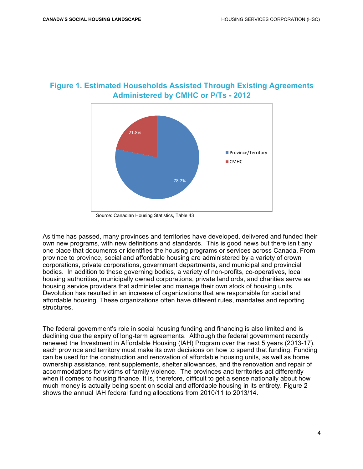



Source: Canadian Housing Statistics, Table 43

As time has passed, many provinces and territories have developed, delivered and funded their own new programs, with new definitions and standards. This is good news but there isn't any one place that documents or identifies the housing programs or services across Canada. From province to province, social and affordable housing are administered by a variety of crown corporations, private corporations, government departments, and municipal and provincial bodies. In addition to these governing bodies, a variety of non-profits, co-operatives, local housing authorities, municipally owned corporations, private landlords, and charities serve as housing service providers that administer and manage their own stock of housing units. Devolution has resulted in an increase of organizations that are responsible for social and affordable housing. These organizations often have different rules, mandates and reporting structures.

The federal government's role in social housing funding and financing is also limited and is declining due the expiry of long-term agreements. Although the federal government recently renewed the Investment in Affordable Housing (IAH) Program over the next 5 years (2013-17), each province and territory must make its own decisions on how to spend that funding. Funding can be used for the construction and renovation of affordable housing units, as well as home ownership assistance, rent supplements, shelter allowances, and the renovation and repair of accommodations for victims of family violence. The provinces and territories act differently when it comes to housing finance. It is, therefore, difficult to get a sense nationally about how much money is actually being spent on social and affordable housing in its entirety. Figure 2 shows the annual IAH federal funding allocations from 2010/11 to 2013/14.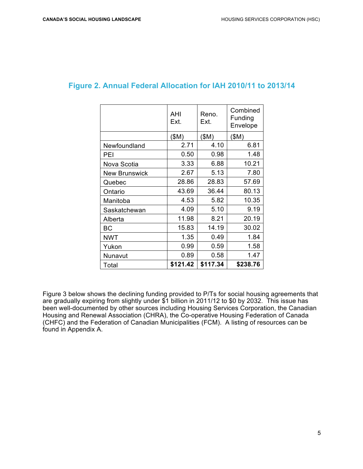$\overline{\phantom{0}}$ 

 $\Gamma$ 

|                      | AHI<br>Ext. | Reno.<br>Ext. | Combined<br>Funding<br>Envelope |
|----------------------|-------------|---------------|---------------------------------|
|                      | \$M)        | (SM)          | (SM)                            |
| Newfoundland         | 2.71        | 4.10          | 6.81                            |
| PEI                  | 0.50        | 0.98          | 1.48                            |
| Nova Scotia          | 3.33        | 6.88          | 10.21                           |
| <b>New Brunswick</b> | 2.67        | 5.13          | 7.80                            |
| Quebec               | 28.86       | 28.83         | 57.69                           |
| Ontario              | 43.69       | 36.44         | 80.13                           |
| Manitoba             | 4.53        | 5.82          | 10.35                           |
| Saskatchewan         | 4.09        | 5.10          | 9.19                            |
| Alberta              | 11.98       | 8.21          | 20.19                           |
| BС                   | 15.83       | 14.19         | 30.02                           |
| NWT                  | 1.35        | 0.49          | 1.84                            |
| Yukon                | 0.99        | 0.59          | 1.58                            |
| Nunavut              | 0.89        | 0.58          | 1.47                            |
| Total                | \$121.42    | \$117.34      | \$238.76                        |

#### **Figure 2. Annual Federal Allocation for IAH 2010/11 to 2013/14**

 $\overline{\phantom{0}}$ 

 $\overline{\phantom{a}}$ 

 $\overline{\phantom{a}}$ 

Figure 3 below shows the declining funding provided to P/Ts for social housing agreements that are gradually expiring from slightly under \$1 billion in 2011/12 to \$0 by 2032. This issue has been well-documented by other sources including Housing Services Corporation, the Canadian Housing and Renewal Association (CHRA), the Co-operative Housing Federation of Canada (CHFC) and the Federation of Canadian Municipalities (FCM). A listing of resources can be found in Appendix A.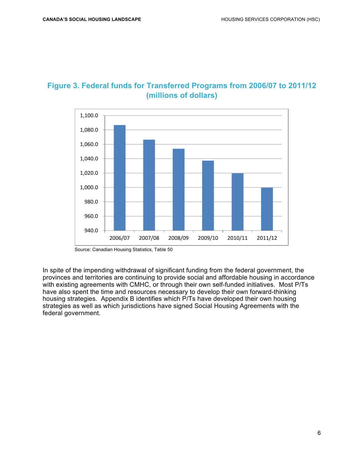

#### **Figure 3. Federal funds for Transferred Programs from 2006/07 to 2011/12 (millions of dollars)**

Source: Canadian Housing Statistics, Table 50

In spite of the impending withdrawal of significant funding from the federal government, the provinces and territories are continuing to provide social and affordable housing in accordance with existing agreements with CMHC, or through their own self-funded initiatives. Most P/Ts have also spent the time and resources necessary to develop their own forward-thinking housing strategies. Appendix B identifies which P/Ts have developed their own housing strategies as well as which jurisdictions have signed Social Housing Agreements with the federal government.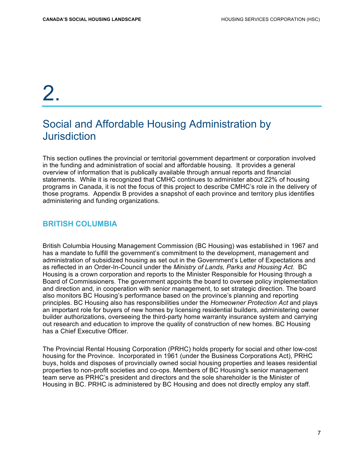# 2.

## Social and Affordable Housing Administration by **Jurisdiction**

This section outlines the provincial or territorial government department or corporation involved in the funding and administration of social and affordable housing. It provides a general overview of information that is publically available through annual reports and financial statements. While it is recognized that CMHC continues to administer about 22% of housing programs in Canada, it is not the focus of this project to describe CMHC's role in the delivery of those programs. Appendix B provides a snapshot of each province and territory plus identifies administering and funding organizations.

#### **BRITISH COLUMBIA**

British Columbia Housing Management Commission (BC Housing) was established in 1967 and has a mandate to fulfill the government's commitment to the development, management and administration of subsidized housing as set out in the Government's Letter of Expectations and as reflected in an Order-In-Council under the *Ministry of Lands, Parks and Housing Act*. BC Housing is a crown corporation and reports to the Minister Responsible for Housing through a Board of Commissioners. The government appoints the board to oversee policy implementation and direction and, in cooperation with senior management, to set strategic direction. The board also monitors BC Housing's performance based on the province's planning and reporting principles. BC Housing also has responsibilities under the *Homeowner Protection Act* and plays an important role for buyers of new homes by licensing residential builders, administering owner builder authorizations, overseeing the third-party home warranty insurance system and carrying out research and education to improve the quality of construction of new homes. BC Housing has a Chief Executive Officer.

The Provincial Rental Housing Corporation (PRHC) holds property for social and other low-cost housing for the Province. Incorporated in 1961 (under the Business Corporations Act), PRHC buys, holds and disposes of provincially owned social housing properties and leases residential properties to non-profit societies and co-ops. Members of BC Housing's senior management team serve as PRHC's president and directors and the sole shareholder is the Minister of Housing in BC. PRHC is administered by BC Housing and does not directly employ any staff.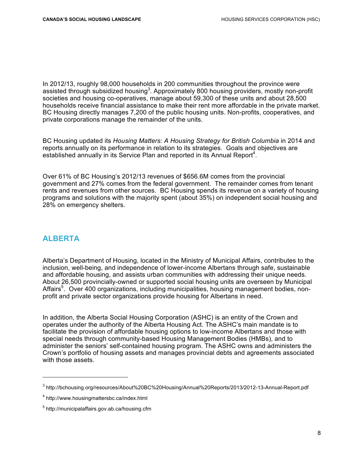In 2012/13, roughly 98,000 households in 200 communities throughout the province were assisted through subsidized housing<sup>3</sup>. Approximately 800 housing providers, mostly non-profit societies and housing co-operatives, manage about 59,300 of these units and about 28,500 households receive financial assistance to make their rent more affordable in the private market. BC Housing directly manages 7,200 of the public housing units. Non-profits, cooperatives, and private corporations manage the remainder of the units.

BC Housing updated its *Housing Matters: A Housing Strategy for British Columbia* in 2014 and reports annually on its performance in relation to its strategies. Goals and objectives are established annually in its Service Plan and reported in its Annual Report<sup>4</sup>.

Over 61% of BC Housing's 2012/13 revenues of \$656.6M comes from the provincial government and 27% comes from the federal government. The remainder comes from tenant rents and revenues from other sources. BC Housing spends its revenue on a variety of housing programs and solutions with the majority spent (about 35%) on independent social housing and 28% on emergency shelters.

#### **ALBERTA**

Alberta's Department of Housing, located in the Ministry of Municipal Affairs, contributes to the inclusion, well-being, and independence of lower-income Albertans through safe, sustainable and affordable housing, and assists urban communities with addressing their unique needs. About 26,500 provincially-owned or supported social housing units are overseen by Municipal Affairs<sup>5</sup>. Over 400 organizations, including municipalities, housing management bodies, nonprofit and private sector organizations provide housing for Albertans in need.

In addition, the Alberta Social Housing Corporation (ASHC) is an entity of the Crown and operates under the authority of the Alberta Housing Act. The ASHC's main mandate is to facilitate the provision of affordable housing options to low-income Albertans and those with special needs through community-based Housing Management Bodies (HMBs), and to administer the seniors' self-contained housing program. The ASHC owns and administers the Crown's portfolio of housing assets and manages provincial debts and agreements associated with those assets.

<sup>3</sup> http://bchousing.org/resources/About%20BC%20Housing/Annual%20Reports/2013/2012-13-Annual-Report.pdf

<sup>4</sup> http://www.housingmattersbc.ca/index.html

<sup>&</sup>lt;sup>5</sup> http://municipalaffairs.gov.ab.ca/housing.cfm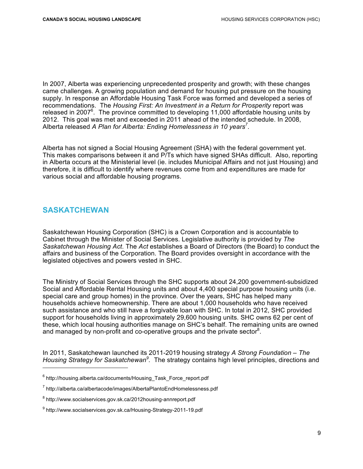In 2007, Alberta was experiencing unprecedented prosperity and growth; with these changes came challenges. A growing population and demand for housing put pressure on the housing supply. In response an Affordable Housing Task Force was formed and developed a series of recommendations. The *Housing First: An Investment in a Return for Prosperity* report was released in 2007 $6$ . The province committed to developing 11,000 affordable housing units by 2012. This goal was met and exceeded in 2011 ahead of the intended schedule. In 2008, Alberta released *A Plan for Alberta: Ending Homelessness in 10 years<sup>7</sup>* .

Alberta has not signed a Social Housing Agreement (SHA) with the federal government yet. This makes comparisons between it and P/Ts which have signed SHAs difficult. Also, reporting in Alberta occurs at the Ministerial level (ie. includes Municipal Affairs and not just Housing) and therefore, it is difficult to identify where revenues come from and expenditures are made for various social and affordable housing programs.

#### **SASKATCHEWAN**

 $\overline{a}$ 

Saskatchewan Housing Corporation (SHC) is a Crown Corporation and is accountable to Cabinet through the Minister of Social Services. Legislative authority is provided by *The Saskatchewan Housing Act*. The *Act* establishes a Board of Directors (the Board) to conduct the affairs and business of the Corporation. The Board provides oversight in accordance with the legislated objectives and powers vested in SHC.

The Ministry of Social Services through the SHC supports about 24,200 government-subsidized Social and Affordable Rental Housing units and about 4,400 special purpose housing units (i.e. special care and group homes) in the province. Over the years, SHC has helped many households achieve homeownership. There are about 1,000 households who have received such assistance and who still have a forgivable loan with SHC. In total in 2012, SHC provided support for households living in approximately 29,600 housing units. SHC owns 62 per cent of these, which local housing authorities manage on SHC's behalf. The remaining units are owned and managed by non-profit and co-operative groups and the private sector<sup>8</sup>.

In 2011, Saskatchewan launched its 2011-2019 housing strategy *A Strong Foundation – The Housing Strategy for Saskatchewan<sup>9</sup> .* The strategy contains high level principles, directions and

<sup>6</sup> http://housing.alberta.ca/documents/Housing\_Task\_Force\_report.pdf

<sup>7</sup> http://alberta.ca/albertacode/images/AlbertaPlantoEndHomelessness.pdf

<sup>&</sup>lt;sup>8</sup> http://www.socialservices.gov.sk.ca/2012housing-annreport.pdf

<sup>&</sup>lt;sup>9</sup> http://www.socialservices.gov.sk.ca/Housing-Strategy-2011-19.pdf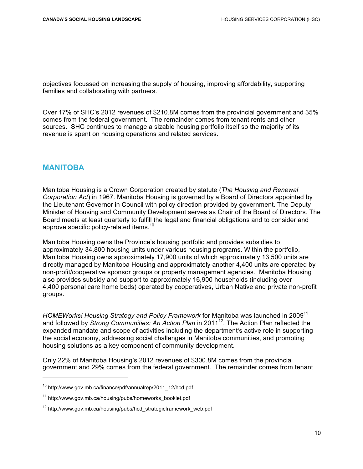objectives focussed on increasing the supply of housing, improving affordability, supporting families and collaborating with partners.

Over 17% of SHC's 2012 revenues of \$210.8M comes from the provincial government and 35% comes from the federal government. The remainder comes from tenant rents and other sources. SHC continues to manage a sizable housing portfolio itself so the majority of its revenue is spent on housing operations and related services.

#### **MANITOBA**

Manitoba Housing is a Crown Corporation created by statute (*The Housing and Renewal Corporation Act*) in 1967. Manitoba Housing is governed by a Board of Directors appointed by the Lieutenant Governor in Council with policy direction provided by government. The Deputy Minister of Housing and Community Development serves as Chair of the Board of Directors. The Board meets at least quarterly to fulfill the legal and financial obligations and to consider and approve specific policy-related items.<sup>10</sup>

Manitoba Housing owns the Province's housing portfolio and provides subsidies to approximately 34,800 housing units under various housing programs. Within the portfolio, Manitoba Housing owns approximately 17,900 units of which approximately 13,500 units are directly managed by Manitoba Housing and approximately another 4,400 units are operated by non-profit/cooperative sponsor groups or property management agencies. Manitoba Housing also provides subsidy and support to approximately 16,900 households (including over 4,400 personal care home beds) operated by cooperatives, Urban Native and private non-profit groups.

*HOMEWorks! Housing Strategy and Policy Framework* for Manitoba was launched in 2009<sup>11</sup> and followed by *Strong Communities: An Action Plan* in 2011<sup>12</sup>. The Action Plan reflected the expanded mandate and scope of activities including the department's active role in supporting the social economy, addressing social challenges in Manitoba communities, and promoting housing solutions as a key component of community development.

Only 22% of Manitoba Housing's 2012 revenues of \$300.8M comes from the provincial government and 29% comes from the federal government. The remainder comes from tenant

<sup>&</sup>lt;sup>10</sup> http://www.gov.mb.ca/finance/pdf/annualrep/2011\_12/hcd.pdf

<sup>&</sup>lt;sup>11</sup> http://www.gov.mb.ca/housing/pubs/homeworks\_booklet.pdf

 $12$  http://www.gov.mb.ca/housing/pubs/hcd strategicframework web.pdf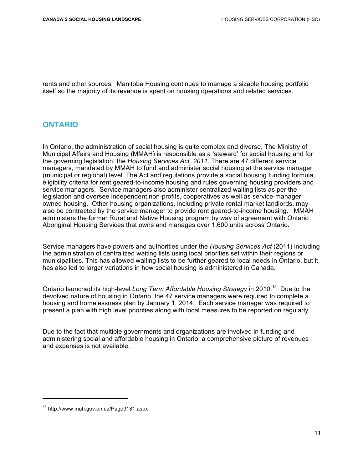rents and other sources. Manitoba Housing continues to manage a sizable housing portfolio itself so the majority of its revenue is spent on housing operations and related services.

#### **ONTARIO**

In Ontario, the administration of social housing is quite complex and diverse. The Ministry of Municipal Affairs and Housing (MMAH) is responsible as a 'steward' for social housing and for the governing legislation, the *Housing Services Act, 2011*. There are 47 different service managers, mandated by MMAH to fund and administer social housing at the service manager (municipal or regional) level. The Act and regulations provide a social housing funding formula, eligibility criteria for rent geared-to-income housing and rules governing housing providers and service managers. Service managers also administer centralized waiting lists as per the legislation and oversee independent non-profits, cooperatives as well as service-manager owned housing. Other housing organizations, including private rental market landlords, may also be contracted by the service manager to provide rent geared-to-income housing. MMAH administers the former Rural and Native Housing program by way of agreement with Ontario Aboriginal Housing Services that owns and manages over 1,600 units across Ontario.

Service managers have powers and authorities under the *Housing Services Act* (2011) including the administration of centralized waiting lists using local priorities set within their regions or municipalities. This has allowed waiting lists to be further geared to local needs in Ontario, but it has also led to larger variations in how social housing is administered in Canada.

Ontario launched its high-level *Long Term Affordable Housing Strategy* in 2010.<sup>13</sup> Due to the devolved nature of housing in Ontario, the 47 service managers were required to complete a housing and homelessness plan by January 1, 2014. Each service manager was required to present a plan with high level priorities along with local measures to be reported on regularly.

Due to the fact that multiple governments and organizations are involved in funding and administering social and affordable housing in Ontario, a comprehensive picture of revenues and expenses is not available.

<sup>13</sup> http://www.mah.gov.on.ca/Page9181.aspx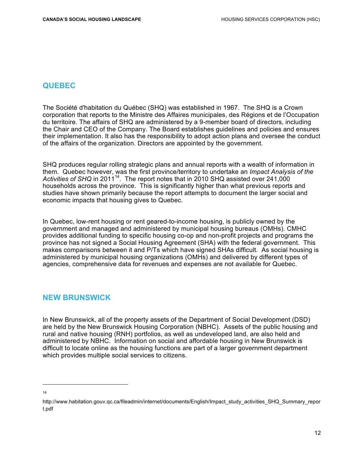#### **QUEBEC**

The Société d'habitation du Québec (SHQ) was established in 1967. The SHQ is a Crown corporation that reports to the Ministre des Affaires municipales, des Régions et de l'Occupation du territoire. The affairs of SHQ are administered by a 9-member board of directors, including the Chair and CEO of the Company. The Board establishes guidelines and policies and ensures their implementation. It also has the responsibility to adopt action plans and oversee the conduct of the affairs of the organization. Directors are appointed by the government.

SHQ produces regular rolling strategic plans and annual reports with a wealth of information in them. Quebec however, was the first province/territory to undertake an *Impact Analysis of the Activities of SHQ* in 201114. The report notes that in 2010 SHQ assisted over 241,000 households across the province. This is significantly higher than what previous reports and studies have shown primarily because the report attempts to document the larger social and economic impacts that housing gives to Quebec.

In Quebec, low-rent housing or rent geared-to-income housing, is publicly owned by the government and managed and administered by municipal housing bureaus (OMHs). CMHC provides additional funding to specific housing co-op and non-profit projects and programs the province has not signed a Social Housing Agreement (SHA) with the federal government. This makes comparisons between it and P/Ts which have signed SHAs difficult. As social housing is administered by municipal housing organizations (OMHs) and delivered by different types of agencies, comprehensive data for revenues and expenses are not available for Quebec.

#### **NEW BRUNSWICK**

In New Brunswick, all of the property assets of the Department of Social Development (DSD) are held by the New Brunswick Housing Corporation (NBHC). Assets of the public housing and rural and native housing (RNH) portfolios, as well as undeveloped land, are also held and administered by NBHC. Information on social and affordable housing in New Brunswick is difficult to locate online as the housing functions are part of a larger government department which provides multiple social services to citizens.

 14

http://www.habitation.gouv.qc.ca/fileadmin/internet/documents/English/Impact\_study\_activities\_SHQ\_Summary\_repor t.pdf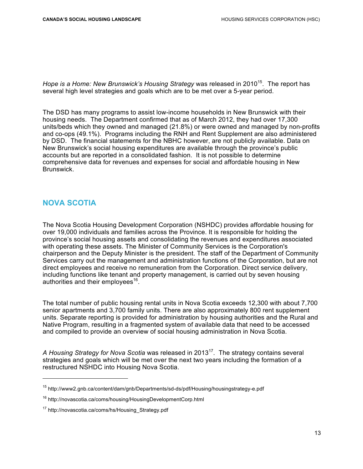*Hope is a Home: New Brunswick's Housing Strategy* was released in 2010<sup>15</sup>. The report has several high level strategies and goals which are to be met over a 5-year period.

The DSD has many programs to assist low-income households in New Brunswick with their housing needs. The Department confirmed that as of March 2012, they had over 17,300 units/beds which they owned and managed (21.8%) or were owned and managed by non-profits and co-ops (49.1%). Programs including the RNH and Rent Supplement are also administered by DSD. The financial statements for the NBHC however, are not publicly available. Data on New Brunswick's social housing expenditures are available through the province's public accounts but are reported in a consolidated fashion. It is not possible to determine comprehensive data for revenues and expenses for social and affordable housing in New Brunswick.

#### **NOVA SCOTIA**

 $\overline{a}$ 

The Nova Scotia Housing Development Corporation (NSHDC) provides affordable housing for over 19,000 individuals and families across the Province. It is responsible for holding the province's social housing assets and consolidating the revenues and expenditures associated with operating these assets. The Minister of Community Services is the Corporation's chairperson and the Deputy Minister is the president. The staff of the Department of Community Services carry out the management and administration functions of the Corporation, but are not direct employees and receive no remuneration from the Corporation. Direct service delivery, including functions like tenant and property management, is carried out by seven housing authorities and their employees<sup>16</sup>.

The total number of public housing rental units in Nova Scotia exceeds 12,300 with about 7,700 senior apartments and 3,700 family units. There are also approximately 800 rent supplement units. Separate reporting is provided for administration by housing authorities and the Rural and Native Program, resulting in a fragmented system of available data that need to be accessed and compiled to provide an overview of social housing administration in Nova Scotia.

A Housing Strategy for Nova Scotia was released in 2013<sup>17</sup>. The strategy contains several strategies and goals which will be met over the next two years including the formation of a restructured NSHDC into Housing Nova Scotia.

<sup>15</sup> http://www2.gnb.ca/content/dam/gnb/Departments/sd-ds/pdf/Housing/housingstrategy-e.pdf

<sup>16</sup> http://novascotia.ca/coms/housing/HousingDevelopmentCorp.html

<sup>&</sup>lt;sup>17</sup> http://novascotia.ca/coms/hs/Housing\_Strategy.pdf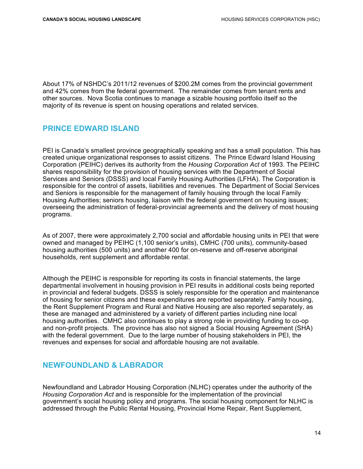About 17% of NSHDC's 2011/12 revenues of \$200.2M comes from the provincial government and 42% comes from the federal government. The remainder comes from tenant rents and other sources. Nova Scotia continues to manage a sizable housing portfolio itself so the majority of its revenue is spent on housing operations and related services.

#### **PRINCE EDWARD ISLAND**

PEI is Canada's smallest province geographically speaking and has a small population. This has created unique organizational responses to assist citizens. The Prince Edward Island Housing Corporation (PEIHC) derives its authority from the *Housing Corporation Act* of 1993. The PEIHC shares responsibility for the provision of housing services with the Department of Social Services and Seniors (DSSS) and local Family Housing Authorities (LFHA). The Corporation is responsible for the control of assets, liabilities and revenues. The Department of Social Services and Seniors is responsible for the management of family housing through the local Family Housing Authorities; seniors housing, liaison with the federal government on housing issues; overseeing the administration of federal-provincial agreements and the delivery of most housing programs.

As of 2007, there were approximately 2,700 social and affordable housing units in PEI that were owned and managed by PEIHC (1,100 senior's units), CMHC (700 units), community-based housing authorities (500 units) and another 400 for on-reserve and off-reserve aboriginal households, rent supplement and affordable rental.

Although the PEIHC is responsible for reporting its costs in financial statements, the large departmental involvement in housing provision in PEI results in additional costs being reported in provincial and federal budgets. DSSS is solely responsible for the operation and maintenance of housing for senior citizens and these expenditures are reported separately. Family housing, the Rent Supplement Program and Rural and Native Housing are also reported separately, as these are managed and administered by a variety of different parties including nine local housing authorities. CMHC also continues to play a strong role in providing funding to co-op and non-profit projects. The province has also not signed a Social Housing Agreement (SHA) with the federal government. Due to the large number of housing stakeholders in PEI, the revenues and expenses for social and affordable housing are not available.

#### **NEWFOUNDLAND & LABRADOR**

Newfoundland and Labrador Housing Corporation (NLHC) operates under the authority of the *Housing Corporation Act* and is responsible for the implementation of the provincial government's social housing policy and programs. The social housing component for NLHC is addressed through the Public Rental Housing, Provincial Home Repair, Rent Supplement,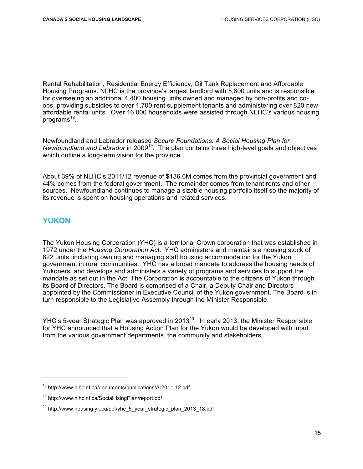Rental Rehabilitation, Residential Energy Efficiency, Oil Tank Replacement and Affordable Housing Programs. NLHC is the province's largest landlord with 5,600 units and is responsible for overseeing an additional 4,400 housing units owned and managed by non-profits and coops, providing subsidies to over 1,700 rent supplement tenants and administering over 820 new affordable rental units. Over 16,000 households were assisted through NLHC's various housing programs $^{18}$ .

Newfoundland and Labrador released *Secure Foundations: A Social Housing Plan for Newfoundland and Labrador* in 2009<sup>19</sup>. The plan contains three high-level goals and objectives which outline a long-term vision for the province.

About 39% of NLHC's 2011/12 revenue of \$136.6M comes from the provincial government and 44% comes from the federal government. The remainder comes from tenant rents and other sources. Newfoundland continues to manage a sizable housing portfolio itself so the majority of its revenue is spent on housing operations and related services.

#### **YUKON**

The Yukon Housing Corporation (YHC) is a territorial Crown corporation that was established in 1972 under the *Housing Corporation Act*. YHC administers and maintains a housing stock of 822 units, including owning and managing staff housing accommodation for the Yukon government in rural communities. YHC has a broad mandate to address the housing needs of Yukoners, and develops and administers a variety of programs and services to support the mandate as set out in the Act. The Corporation is accountable to the citizens of Yukon through its Board of Directors. The Board is comprised of a Chair, a Deputy Chair and Directors appointed by the Commissioner in Executive Council of the Yukon government. The Board is in turn responsible to the Legislative Assembly through the Minister Responsible.

YHC's 5-year Strategic Plan was approved in 2013<sup>20</sup>. In early 2013, the Minister Responsible for YHC announced that a Housing Action Plan for the Yukon would be developed with input from the various government departments, the community and stakeholders.

<sup>18</sup> http://www.nlhc.nf.ca/documents/publications/Ar2011-12.pdf

<sup>19</sup> http://www.nlhc.nf.ca/SocialHsingPlan/report.pdf

<sup>&</sup>lt;sup>20</sup> http://www.housing.yk.ca/pdf/yhc\_5\_year\_strategic\_plan\_2013\_18.pdf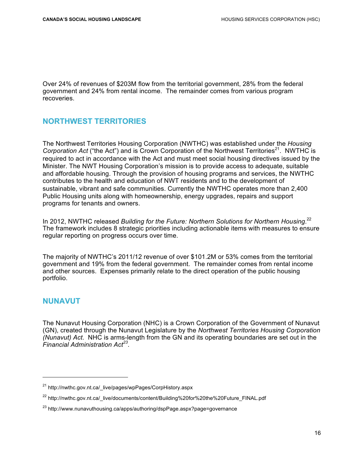Over 24% of revenues of \$203M flow from the territorial government, 28% from the federal government and 24% from rental income. The remainder comes from various program recoveries.

#### **NORTHWEST TERRITORIES**

The Northwest Territories Housing Corporation (NWTHC) was established under the *Housing Corporation Act* ("the Act") and is Crown Corporation of the Northwest Territories<sup>21</sup>. NWTHC is required to act in accordance with the Act and must meet social housing directives issued by the Minister. The NWT Housing Corporation's mission is to provide access to adequate, suitable and affordable housing. Through the provision of housing programs and services, the NWTHC contributes to the health and education of NWT residents and to the development of sustainable, vibrant and safe communities. Currently the NWTHC operates more than 2,400 Public Housing units along with homeownership, energy upgrades, repairs and support programs for tenants and owners.

In 2012, NWTHC released Building for the Future: Northern Solutions for Northern Housing.<sup>22</sup> The framework includes 8 strategic priorities including actionable items with measures to ensure regular reporting on progress occurs over time.

The majority of NWTHC's 2011/12 revenue of over \$101.2M or 53% comes from the territorial government and 19% from the federal government. The remainder comes from rental income and other sources. Expenses primarily relate to the direct operation of the public housing portfolio.

#### **NUNAVUT**

The Nunavut Housing Corporation (NHC) is a Crown Corporation of the Government of Nunavut (GN), created through the Nunavut Legislature by the *Northwest Territories Housing Corporation (Nunavut) Act*. NHC is arms-length from the GN and its operating boundaries are set out in the *Financial Administration Act<sup>23</sup>*.

<sup>&</sup>lt;sup>21</sup> http://nwthc.gov.nt.ca/\_live/pages/wpPages/CorpHistory.aspx

<sup>&</sup>lt;sup>22</sup> http://nwthc.gov.nt.ca/\_live/documents/content/Building%20for%20the%20Future\_FINAL.pdf

<sup>&</sup>lt;sup>23</sup> http://www.nunavuthousing.ca/apps/authoring/dspPage.aspx?page=governance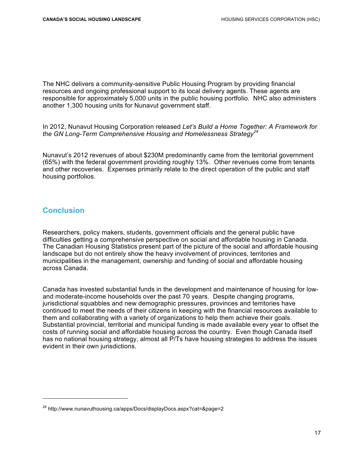The NHC delivers a community-sensitive Public Housing Program by providing financial resources and ongoing professional support to its local delivery agents. These agents are responsible for approximately 5,000 units in the public housing portfolio. NHC also administers another 1,300 housing units for Nunavut government staff.

In 2012, Nunavut Housing Corporation released *Let's Build a Home Together: A Framework for the GN Long-Term Comprehensive Housing and Homelessness Strategy<sup>24</sup>*

Nunavut's 2012 revenues of about \$230M predominantly came from the territorial government (65%) with the federal government providing roughly 13%. Other revenues come from tenants and other recoveries. Expenses primarily relate to the direct operation of the public and staff housing portfolios.

#### **Conclusion**

Researchers, policy makers, students, government officials and the general public have difficulties getting a comprehensive perspective on social and affordable housing in Canada. The Canadian Housing Statistics present part of the picture of the social and affordable housing landscape but do not entirely show the heavy involvement of provinces, territories and municipalities in the management, ownership and funding of social and affordable housing across Canada.

Canada has invested substantial funds in the development and maintenance of housing for lowand moderate-income households over the past 70 years. Despite changing programs, jurisdictional squabbles and new demographic pressures, provinces and territories have continued to meet the needs of their citizens in keeping with the financial resources available to them and collaborating with a variety of organizations to help them achieve their goals. Substantial provincial, territorial and municipal funding is made available every year to offset the costs of running social and affordable housing across the country. Even though Canada itself has no national housing strategy, almost all P/Ts have housing strategies to address the issues evident in their own jurisdictions.

<sup>&</sup>lt;sup>24</sup> http://www.nunavuthousing.ca/apps/Docs/displayDocs.aspx?cat=&page=2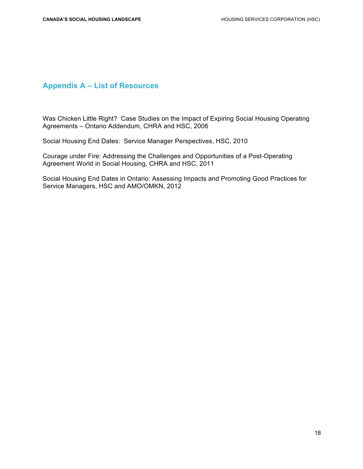#### **Appendix A – List of Resources**

Was Chicken Little Right? Case Studies on the Impact of Expiring Social Housing Operating Agreements – Ontario Addendum, CHRA and HSC, 2006

Social Housing End Dates: Service Manager Perspectives, HSC, 2010

Courage under Fire: Addressing the Challenges and Opportunities of a Post-Operating Agreement World in Social Housing, CHRA and HSC, 2011

Social Housing End Dates in Ontario: Assessing Impacts and Promoting Good Practices for Service Managers, HSC and AMO/OMKN, 2012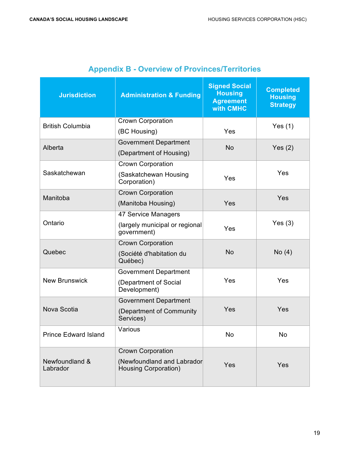| <b>Jurisdiction</b>         | <b>Administration &amp; Funding</b>                                                   | <b>Signed Social</b><br><b>Housing</b><br><b>Agreement</b><br>with CMHC | <b>Completed</b><br><b>Housing</b><br><b>Strategy</b> |
|-----------------------------|---------------------------------------------------------------------------------------|-------------------------------------------------------------------------|-------------------------------------------------------|
| <b>British Columbia</b>     | <b>Crown Corporation</b><br>(BC Housing)                                              | Yes                                                                     | Yes $(1)$                                             |
| Alberta                     | <b>Government Department</b><br>(Department of Housing)                               | <b>No</b>                                                               | Yes $(2)$                                             |
| Saskatchewan                | Crown Corporation<br>(Saskatchewan Housing<br>Corporation)                            | Yes                                                                     | Yes                                                   |
| Manitoba                    | <b>Crown Corporation</b><br>(Manitoba Housing)                                        | Yes                                                                     | Yes                                                   |
| Ontario                     | 47 Service Managers<br>(largely municipal or regional<br>government)                  | Yes                                                                     | Yes $(3)$                                             |
| Quebec                      | <b>Crown Corporation</b><br>(Société d'habitation du<br>Québec)                       | No                                                                      | No(4)                                                 |
| <b>New Brunswick</b>        | <b>Government Department</b><br>(Department of Social<br>Development)                 | Yes                                                                     | Yes                                                   |
| Nova Scotia                 | <b>Government Department</b><br>(Department of Community<br>Services)                 | Yes                                                                     | Yes                                                   |
| <b>Prince Edward Island</b> | Various                                                                               | <b>No</b>                                                               | <b>No</b>                                             |
| Newfoundland &<br>Labrador  | <b>Crown Corporation</b><br>(Newfoundland and Labrador<br><b>Housing Corporation)</b> | Yes                                                                     | Yes                                                   |

### **Appendix B - Overview of Provinces/Territories**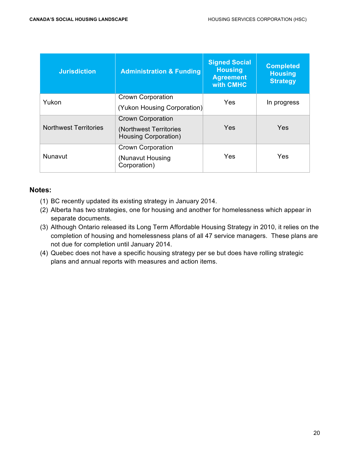| <b>Jurisdiction</b>          | <b>Administration &amp; Funding</b>             | <b>Signed Social</b><br><b>Housing</b><br><b>Agreement</b><br>with CMHC | <b>Completed</b><br><b>Housing</b><br><b>Strategy</b> |
|------------------------------|-------------------------------------------------|-------------------------------------------------------------------------|-------------------------------------------------------|
| Yukon                        | <b>Crown Corporation</b>                        | Yes                                                                     | In progress                                           |
|                              | (Yukon Housing Corporation)                     |                                                                         |                                                       |
|                              | <b>Crown Corporation</b>                        | <b>Yes</b>                                                              | <b>Yes</b>                                            |
| <b>Northwest Territories</b> | (Northwest Territories)<br>Housing Corporation) |                                                                         |                                                       |
|                              | <b>Crown Corporation</b>                        | Yes                                                                     | Yes                                                   |
| Nunavut                      | (Nunavut Housing<br>Corporation)                |                                                                         |                                                       |

#### **Notes:**

- (1) BC recently updated its existing strategy in January 2014.
- (2) Alberta has two strategies, one for housing and another for homelessness which appear in separate documents.
- (3) Although Ontario released its Long Term Affordable Housing Strategy in 2010, it relies on the completion of housing and homelessness plans of all 47 service managers. These plans are not due for completion until January 2014.
- (4) Quebec does not have a specific housing strategy per se but does have rolling strategic plans and annual reports with measures and action items.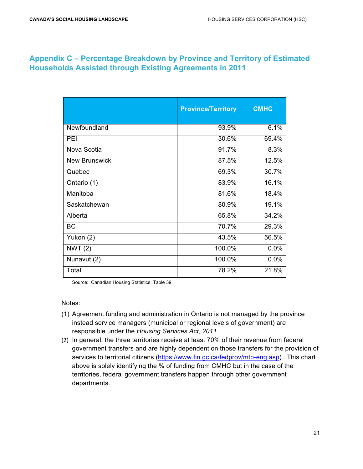#### **Appendix C – Percentage Breakdown by Province and Territory of Estimated Households Assisted through Existing Agreements in 2011**

|                      | <b>Province/Territory</b> | <b>CMHC</b> |
|----------------------|---------------------------|-------------|
| Newfoundland         | 93.9%                     | 6.1%        |
| <b>PEI</b>           | 30.6%                     | 69.4%       |
| Nova Scotia          | 91.7%                     | 8.3%        |
| <b>New Brunswick</b> | 87.5%                     | 12.5%       |
| Quebec               | 69.3%                     | 30.7%       |
| Ontario (1)          | 83.9%                     | 16.1%       |
| Manitoba             | 81.6%                     | 18.4%       |
| Saskatchewan         | 80.9%                     | 19.1%       |
| Alberta              | 65.8%                     | 34.2%       |
| <b>BC</b>            | 70.7%                     | 29.3%       |
| Yukon (2)            | 43.5%                     | 56.5%       |
| NWT $(2)$            | 100.0%                    | 0.0%        |
| Nunavut (2)          | 100.0%                    | 0.0%        |
| Total                | 78.2%                     | 21.8%       |

Source: Canadian Housing Statistics, Table 39

Notes:

- (1) Agreement funding and administration in Ontario is not managed by the province instead service managers (municipal or regional levels of government) are responsible under the *Housing Services Act, 2011*.
- (2) In general, the three territories receive at least 70% of their revenue from federal government transfers and are highly dependent on those transfers for the provision of services to territorial citizens (https://www.fin.gc.ca/fedprov/mtp-eng.asp). This chart above is solely identifying the % of funding from CMHC but in the case of the territories, federal government transfers happen through other government departments.